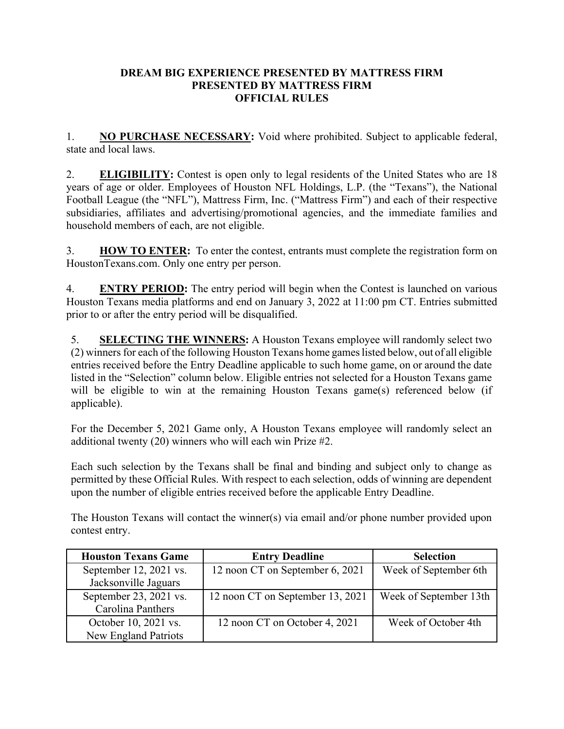## **DREAM BIG EXPERIENCE PRESENTED BY MATTRESS FIRM PRESENTED BY MATTRESS FIRM OFFICIAL RULES**

1. **NO PURCHASE NECESSARY:** Void where prohibited. Subject to applicable federal, state and local laws.

2. **ELIGIBILITY:** Contest is open only to legal residents of the United States who are 18 years of age or older. Employees of Houston NFL Holdings, L.P. (the "Texans"), the National Football League (the "NFL"), Mattress Firm, Inc. ("Mattress Firm") and each of their respective subsidiaries, affiliates and advertising/promotional agencies, and the immediate families and household members of each, are not eligible.

3. **HOW TO ENTER:** To enter the contest, entrants must complete the registration form on HoustonTexans.com. Only one entry per person.

4. **ENTRY PERIOD:** The entry period will begin when the Contest is launched on various Houston Texans media platforms and end on January 3, 2022 at 11:00 pm CT. Entries submitted prior to or after the entry period will be disqualified.

5. **SELECTING THE WINNERS:** A Houston Texans employee will randomly select two (2) winners for each of the following Houston Texans home games listed below, out of all eligible entries received before the Entry Deadline applicable to such home game, on or around the date listed in the "Selection" column below. Eligible entries not selected for a Houston Texans game will be eligible to win at the remaining Houston Texans game(s) referenced below (if applicable).

For the December 5, 2021 Game only, A Houston Texans employee will randomly select an additional twenty (20) winners who will each win Prize #2.

Each such selection by the Texans shall be final and binding and subject only to change as permitted by these Official Rules. With respect to each selection, odds of winning are dependent upon the number of eligible entries received before the applicable Entry Deadline.

The Houston Texans will contact the winner(s) via email and/or phone number provided upon contest entry.

| <b>Houston Texans Game</b>  | <b>Entry Deadline</b>            | <b>Selection</b>       |
|-----------------------------|----------------------------------|------------------------|
| September 12, 2021 vs.      | 12 noon CT on September 6, 2021  | Week of September 6th  |
| Jacksonville Jaguars        |                                  |                        |
| September 23, 2021 vs.      | 12 noon CT on September 13, 2021 | Week of September 13th |
| Carolina Panthers           |                                  |                        |
| October 10, 2021 vs.        | 12 noon CT on October 4, 2021    | Week of October 4th    |
| <b>New England Patriots</b> |                                  |                        |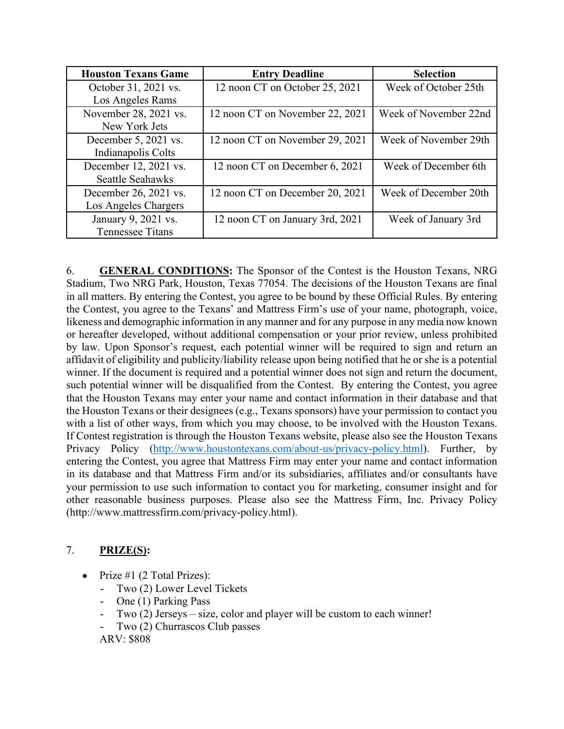| <b>Houston Texans Game</b> | <b>Entry Deadline</b>           | <b>Selection</b>      |
|----------------------------|---------------------------------|-----------------------|
| October 31, 2021 vs.       | 12 noon CT on October 25, 2021  | Week of October 25th  |
| Los Angeles Rams           |                                 |                       |
| November 28, 2021 vs.      | 12 noon CT on November 22, 2021 | Week of November 22nd |
| New York Jets              |                                 |                       |
| December 5, 2021 vs.       | 12 noon CT on November 29, 2021 | Week of November 29th |
| Indianapolis Colts         |                                 |                       |
| December 12, 2021 vs.      | 12 noon CT on December 6, 2021  | Week of December 6th  |
| <b>Seattle Seahawks</b>    |                                 |                       |
| December 26, 2021 vs.      | 12 noon CT on December 20, 2021 | Week of December 20th |
| Los Angeles Chargers       |                                 |                       |
| January 9, 2021 vs.        | 12 noon CT on January 3rd, 2021 | Week of January 3rd   |
| <b>Tennessee Titans</b>    |                                 |                       |

6. **GENERAL CONDITIONS:** The Sponsor of the Contest is the Houston Texans, NRG Stadium, Two NRG Park, Houston, Texas 77054. The decisions of the Houston Texans are final in all matters. By entering the Contest, you agree to be bound by these Official Rules. By entering the Contest, you agree to the Texans' and Mattress Firm's use of your name, photograph, voice, likeness and demographic information in any manner and for any purpose in any media now known or hereafter developed, without additional compensation or your prior review, unless prohibited by law. Upon Sponsor's request, each potential winner will be required to sign and return an affidavit of eligibility and publicity/liability release upon being notified that he or she is a potential winner. If the document is required and a potential winner does not sign and return the document, such potential winner will be disqualified from the Contest. By entering the Contest, you agree that the Houston Texans may enter your name and contact information in their database and that the Houston Texans or their designees (e.g., Texans sponsors) have your permission to contact you with a list of other ways, from which you may choose, to be involved with the Houston Texans. If Contest registration is through the Houston Texans website, please also see the Houston Texans Privacy Policy (<http://www.houstontexans.com/about-us/privacy-policy.html>). Further, by entering the Contest, you agree that Mattress Firm may enter your name and contact information in its database and that Mattress Firm and/or its subsidiaries, affiliates and/or consultants have your permission to use such information to contact you for marketing, consumer insight and for other reasonable business purposes. Please also see the Mattress Firm, Inc. Privacy Policy (<http://www.mattressfirm.com/privacy-policy.html>).

## 7. **PRIZE(S):**

- Prize #1  $(2 \text{ Total Prizes})$ :
	- Two (2) Lower Level Tickets
	- One (1) Parking Pass
	- Two (2) Jerseys size, color and player will be custom to each winner!
	- Two (2) Churrascos Club passes

ARV: \$808